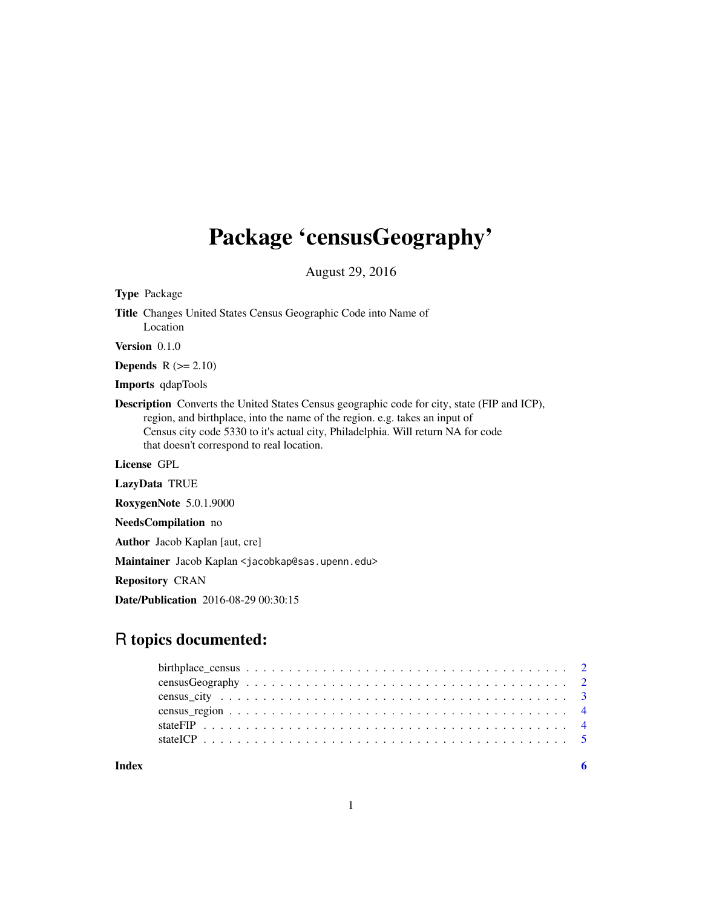## Package 'censusGeography'

August 29, 2016

Type Package Title Changes United States Census Geographic Code into Name of Location Version 0.1.0 **Depends**  $R$  ( $>= 2.10$ ) Imports qdapTools Description Converts the United States Census geographic code for city, state (FIP and ICP), region, and birthplace, into the name of the region. e.g. takes an input of Census city code 5330 to it's actual city, Philadelphia. Will return NA for code that doesn't correspond to real location. License GPL LazyData TRUE RoxygenNote 5.0.1.9000 NeedsCompilation no Author Jacob Kaplan [aut, cre]

Maintainer Jacob Kaplan <jacobkap@sas.upenn.edu>

Repository CRAN

Date/Publication 2016-08-29 00:30:15

### R topics documented:

| Index |  |
|-------|--|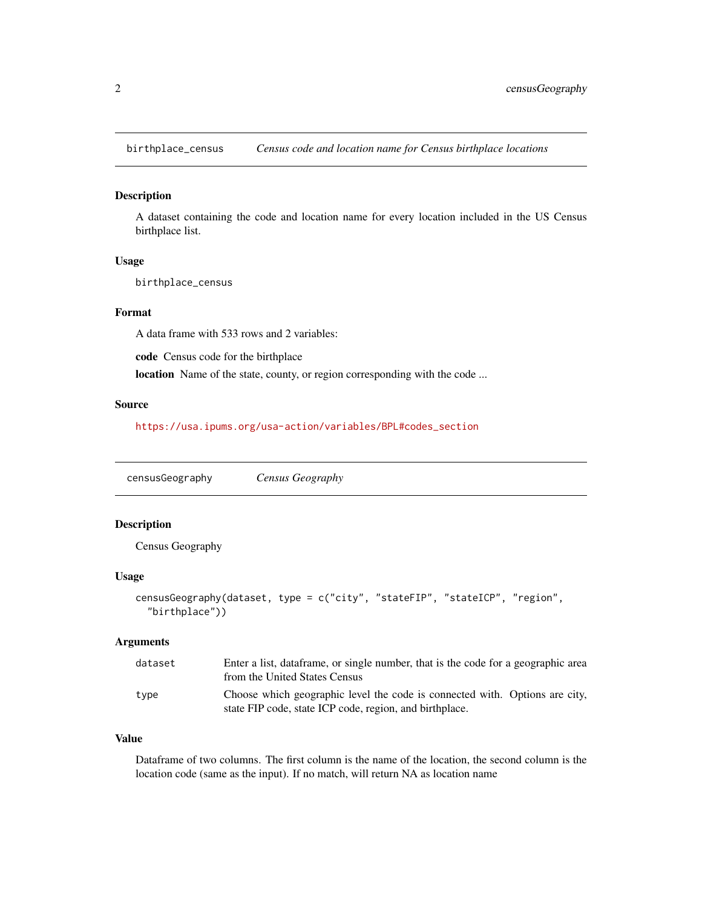<span id="page-1-0"></span>birthplace\_census *Census code and location name for Census birthplace locations*

#### Description

A dataset containing the code and location name for every location included in the US Census birthplace list.

#### Usage

birthplace\_census

#### Format

A data frame with 533 rows and 2 variables:

code Census code for the birthplace

location Name of the state, county, or region corresponding with the code ...

#### Source

[https://usa.ipums.org/usa-action/variables/BPL#codes\\_section](https://usa.ipums.org/usa-action/variables/BPL#codes_section)

censusGeography *Census Geography*

#### Description

Census Geography

#### Usage

```
censusGeography(dataset, type = c("city", "stateFIP", "stateICP", "region",
  "birthplace"))
```
#### Arguments

| dataset | Enter a list, dataframe, or single number, that is the code for a geographic area<br>from the United States Census                     |
|---------|----------------------------------------------------------------------------------------------------------------------------------------|
| type    | Choose which geographic level the code is connected with. Options are city,<br>state FIP code, state ICP code, region, and birthplace. |

#### Value

Dataframe of two columns. The first column is the name of the location, the second column is the location code (same as the input). If no match, will return NA as location name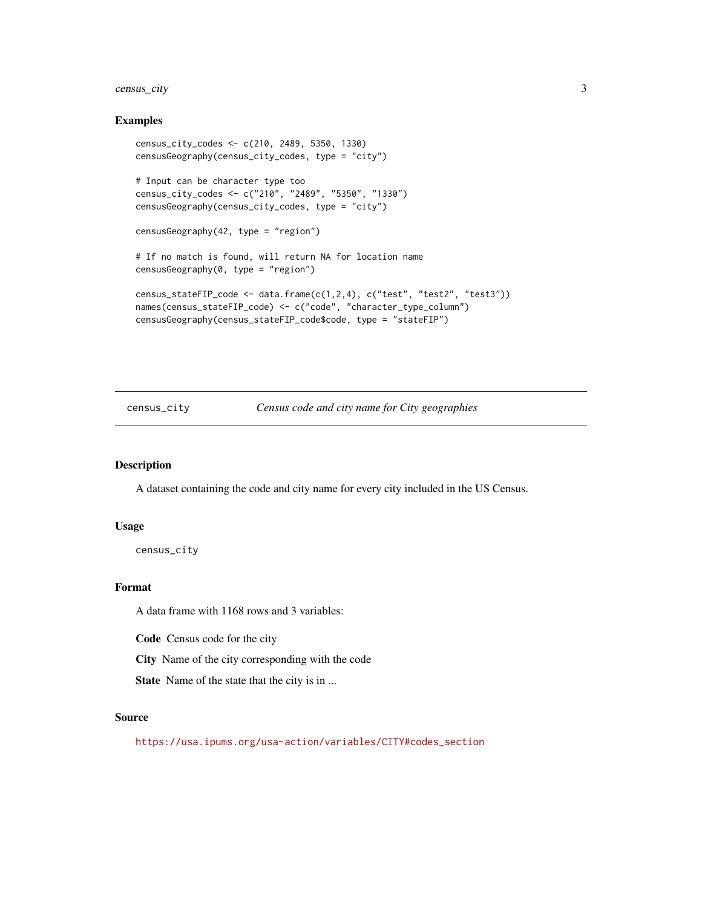#### <span id="page-2-0"></span>census\_city 3

#### Examples

```
census_city_codes <- c(210, 2489, 5350, 1330)
censusGeography(census_city_codes, type = "city")
# Input can be character type too
census_city_codes <- c("210", "2489", "5350", "1330")
censusGeography(census_city_codes, type = "city")
censusGeography(42, type = "region")
# If no match is found, will return NA for location name
censusGeography(0, type = "region")
census_stateFIP_code <- data.frame(c(1,2,4), c("test", "test2", "test3"))
names(census_stateFIP_code) <- c("code", "character_type_column")
censusGeography(census_stateFIP_code$code, type = "stateFIP")
```
#### census\_city *Census code and city name for City geographies*

#### Description

A dataset containing the code and city name for every city included in the US Census.

#### Usage

census\_city

#### Format

A data frame with 1168 rows and 3 variables:

Code Census code for the city

City Name of the city corresponding with the code

State Name of the state that the city is in ...

#### Source

[https://usa.ipums.org/usa-action/variables/CITY#codes\\_section](https://usa.ipums.org/usa-action/variables/CITY#codes_section)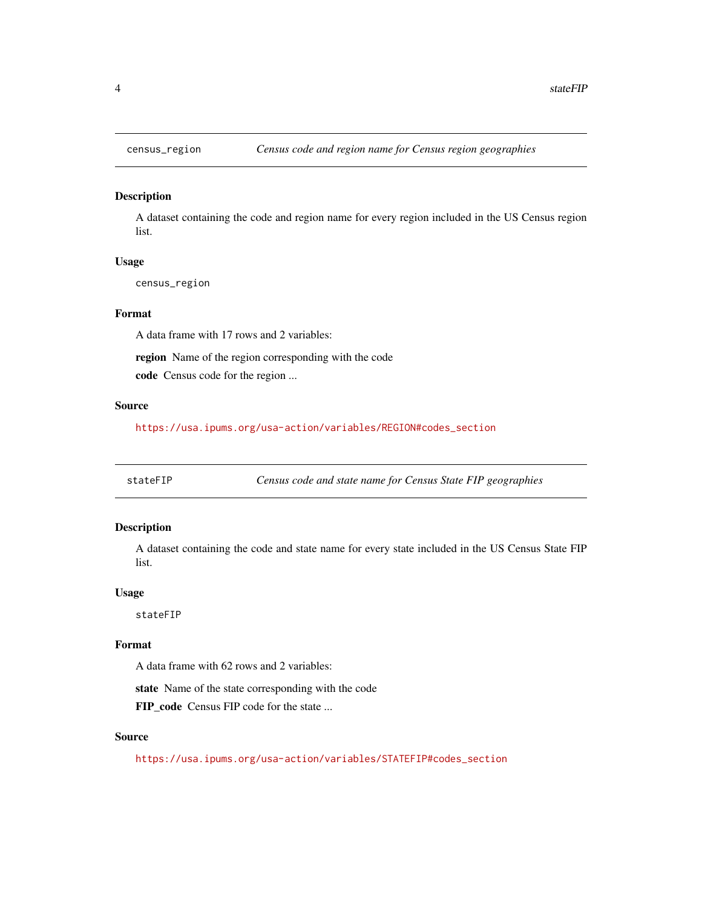<span id="page-3-0"></span>

#### Description

A dataset containing the code and region name for every region included in the US Census region list.

#### Usage

census\_region

#### Format

A data frame with 17 rows and 2 variables:

region Name of the region corresponding with the code

code Census code for the region ...

#### Source

[https://usa.ipums.org/usa-action/variables/REGION#codes\\_section](https://usa.ipums.org/usa-action/variables/REGION#codes_section)

stateFIP *Census code and state name for Census State FIP geographies*

#### Description

A dataset containing the code and state name for every state included in the US Census State FIP list.

#### Usage

stateFIP

#### Format

A data frame with 62 rows and 2 variables:

state Name of the state corresponding with the code

FIP\_code Census FIP code for the state ...

#### Source

[https://usa.ipums.org/usa-action/variables/STATEFIP#codes\\_section](https://usa.ipums.org/usa-action/variables/STATEFIP#codes_section)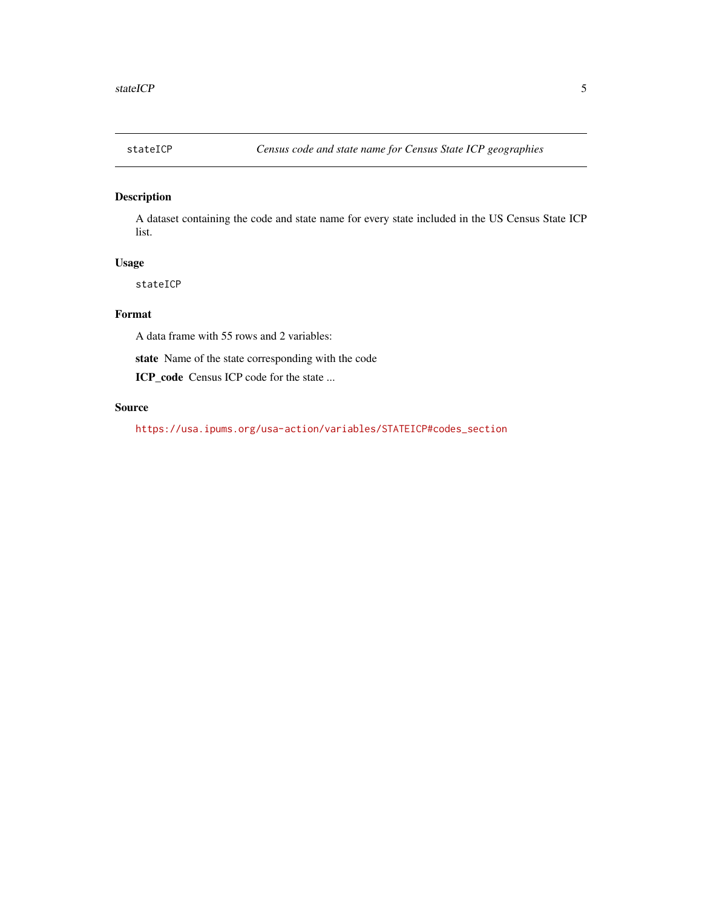<span id="page-4-0"></span>

#### Description

A dataset containing the code and state name for every state included in the US Census State ICP list.

#### Usage

stateICP

#### Format

A data frame with 55 rows and 2 variables:

state Name of the state corresponding with the code

ICP\_code Census ICP code for the state ...

#### Source

[https://usa.ipums.org/usa-action/variables/STATEICP#codes\\_section](https://usa.ipums.org/usa-action/variables/STATEICP#codes_section)